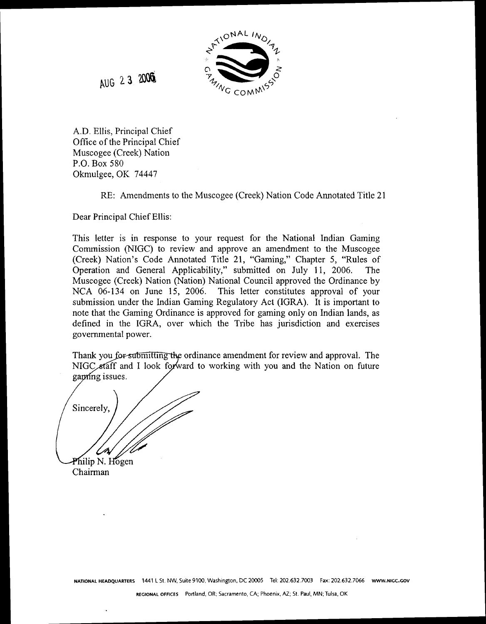

AUG 23 2006

A.D. Ellis, Principal Chief Office of the Principal Chief Muscogee (Creek) Nation P.O. Box 580 Okmulgee, OK 74447

RE: Amendments to the Muscogee (Creek) Nation Code Annotated Title 21

Dear Principal Chief Ellis:

This letter is in response to your request for the National Indian Gaming Commission (NIGC) to review and approve an amendment to the Muscogee (Creek) Nation's Code Annotated Title 21, "Gaming," Chapter 5, "Rules of Operation and General Applicability," submitted on July 11, 2006. The Muscogee (Creek) Nation (Nation) National Council approved the Ordinance by NCA 06-134 on June 15, 2006. This letter constitutes approval of your submission under the Indian Gaming Regulatory Act (IGRA). It is important to note that the Gaming Ordinance is approved for gaming only on Indian lands, as defined in the IGRA, over which the Tribe has jurisdiction and exercises governmental power.

Thank you for submitting the ordinance amendment for review and approval. The NIGC staff and I look forward to working with you and the Nation on future gaming issues.

Sincerely Philip N. Hogen

Chairman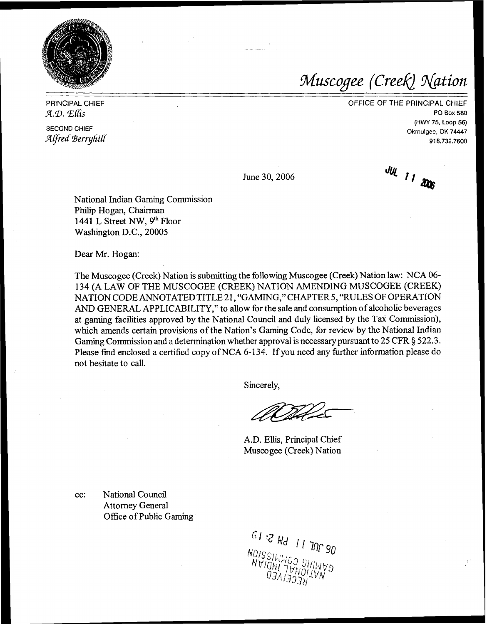

Muscogee (Creek) Nation

PRINCIPAL CHIEF CHIEF CHIEF OF THE PRINCIPAL CHIEF  $\mathcal{A}.\mathcal{D}.$   $\mathcal{L}$   $\mathcal{L}$   $\mathcal{L}$   $\mathcal{L}$  PO Box 580

SECOND CHIEF OKT4447 *Aped* 9erryhig <sup>91</sup>**8.732.7600** 

June 30,2006

JUL 11  $\omega$ 

(HW 75, Loop 56)

National Indian Gaming Commission Philip Hogan, Chairman 1441 L Street NW, **9th** Floor Washington D.C., 20005

Dear Mr. Hogan:

The Muscogee (Creek) Nation is submitting the following Muscogee (Creek) Nation law: NCA **06-**  134 (A LAW OF THE MUSCOGEE (CREEK) NATION AMENDING MUSCOGEE (CREEK) NATION CODE ANNOTATED TITLE 21, "GAMING," CHAPTER 5, "RULES OF OPERATION AND GENERAL APPLICABILITY," to allow for the sale and consumption of alcoholic beverages at gaming facilities approved by the National Council and duly licensed by the Tax Commission), which amends certain provisions of the Nation's Gaming Code, for review by the National Indian Gaming Commission and a determination whether approval is necessary pursuant to 25 CFR *5* 522.3. Please find enclosed a certified copy ofNCA 6-134. If you need any further information please do not hesitate to call.

Sincerely,

Wilde

A.D. Ellis, Principal Chief Musco gee (Creek) Nation

cc: National Council Attorney General Office of Public Gaming

 $\frac{61.32 \text{ M}}{11 \text{ N}}$  11 MB NOISSING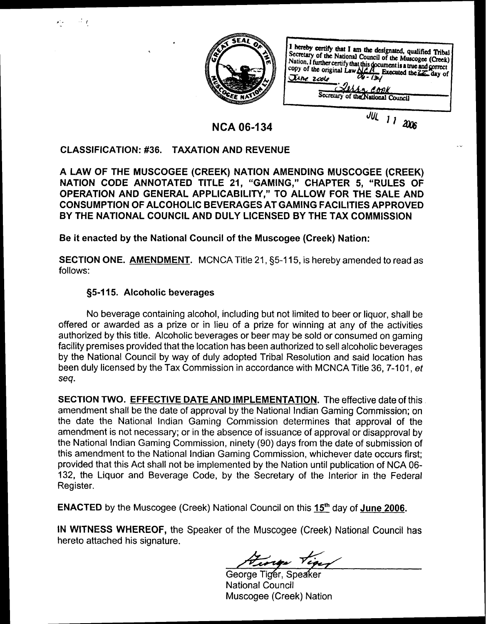

I hereby certify that I am the designated, qualified Tribal Secretary of the National Council of the Muscogee (Creek)<br>Secretary of the National Council of the Muscogee (Creek)<br>Nation, I further certify that this document is a true and correct<br>copy of the original Law  $\frac{M}{W}$ . Ex Secretary of the National Council

**NCA 06-1 34** 

## External of the U.S. of the U.S. of the U.S. of the U.S. of the U.S. of the U.S. of the U.S. of the U.S. of the U.S. of the U.S. of the U.S. of the U.S. of the U.S. of the U.S. of the U.S. of the U.S. of the U.S. of the U.

 $\mathcal{A}$   $\boldsymbol{f}$ 

A LAW OF THE MUSCOGEE (CREEK) NATION AMENDING MUSCOGEE (CREEK) NATION CODE ANNOTATED TITLE 21, "GAMING," CHAPTER 5, "RULES OF OPERATION AND GENERAL APPLICABILITY," TO ALLOW FOR THE SALE AND CONSUMPTION OF ALCOHOLIC BEVERAGES AT GAMING FACILITIES APPROVED BY THE NATIONAL COUNCIL AND DULY LICENSED BY THE TAX COMMISSION

Be it enacted by the National Council of the Muscogee (Creek) Nation:

SECTION ONE. AMENDMENT. MCNCA Title 21, \$5-1 15, is hereby amended to read as follows:

## §5-115. Alcoholic beverages

No beverage containing alcohol, including but not limited to beer or liquor, shall be offered or awarded as a prize or in lieu of a prize for winning at any of the activities authorized by this title. Alcoholic beverages or beer may be sold or consumed on gaming facility premises provided that the location has been authorized to sell alcoholic beverages by the National Council by way of duly adopted Tribal Resolution and said location has been duly licensed by the Tax Commission in accordance with MCNCA Title 36, 7-101, et seq.

SECTION TWO. EFFECTIVE DATE AND IMPLEMENTATION. The effective date of this amendment shall be the date of approval by the National lndian Gaming Commission; on the date the National lndian Gaming Commission determines that approval of the amendment is not necessary; or in the absence of issuance of approval or disapproval by the National lndian Gaming Commission, ninety (90) days from the date of submission of this amendment to the National lndian Gaming Commission, whichever date occurs first; provided that this Act shall not be implemented by the Nation until publication of NCA 06- 132, the Liquor and Beverage Code, by the Secretary of the Interior in the Federal Register.

**ENACTED** by the Muscogee (Creek) National Council on this  $15<sup>th</sup>$  day of June 2006.

IN WITNESS WHEREOF, the Speaker of the Muscogee (Creek) National Council has hereto attached his signature.

tiger

George Tiger, Speaker National Council Muscogee (Creek) Nation